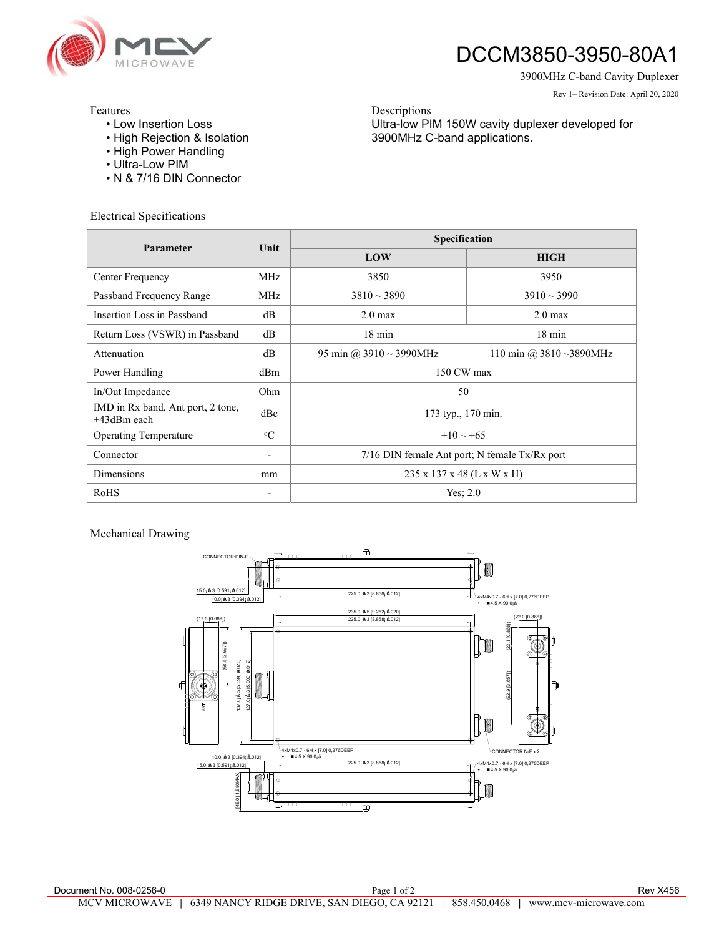

# DCCM3850-3950-80A1

Ultra-low PIM 150W cavity duplexer developed for

3900MHz C-band applications.

3900MHz C-band Cavity Duplexer

#### Rev 1– Revision Date: April 20, 2020

### Features

- Low Insertion Loss
- High Rejection & Isolation
- High Power Handling
- Ultra-Low PIM
- N & 7/16 DIN Connector

Electrical Specifications

| Parameter                                        | Unit                     | Specification                                 |                             |
|--------------------------------------------------|--------------------------|-----------------------------------------------|-----------------------------|
|                                                  |                          | LOW                                           | <b>HIGH</b>                 |
| Center Frequency                                 | MHz.                     | 3850                                          | 3950                        |
| Passband Frequency Range                         | MHz                      | $3810 \sim 3890$                              | $3910 \sim 3990$            |
| Insertion Loss in Passband                       | dB                       | $2.0 \text{ max}$                             | $2.0 \text{ max}$           |
| Return Loss (VSWR) in Passband                   | dB                       | $18 \text{ min}$                              | $18 \text{ min}$            |
| Attenuation                                      | dB                       | 95 min @ $3910 \sim 3990$ MHz                 | 110 min @ $3810 - 3890$ MHz |
| Power Handling                                   | dBm                      | 150 CW max                                    |                             |
| In/Out Impedance                                 | Ohm                      | 50                                            |                             |
| IMD in Rx band, Ant port, 2 tone,<br>+43dBm each | dBc                      | 173 typ., 170 min.                            |                             |
| <b>Operating Temperature</b>                     | $\rm ^{o}C$              | $+10 \sim +65$                                |                             |
| Connector                                        | $\overline{\phantom{a}}$ | 7/16 DIN female Ant port; N female Tx/Rx port |                             |
| Dimensions                                       | mm                       | 235 x 137 x 48 (L x W x H)                    |                             |
| RoHS                                             |                          | Yes; $2.0$                                    |                             |

Descriptions

### Mechanical Drawing